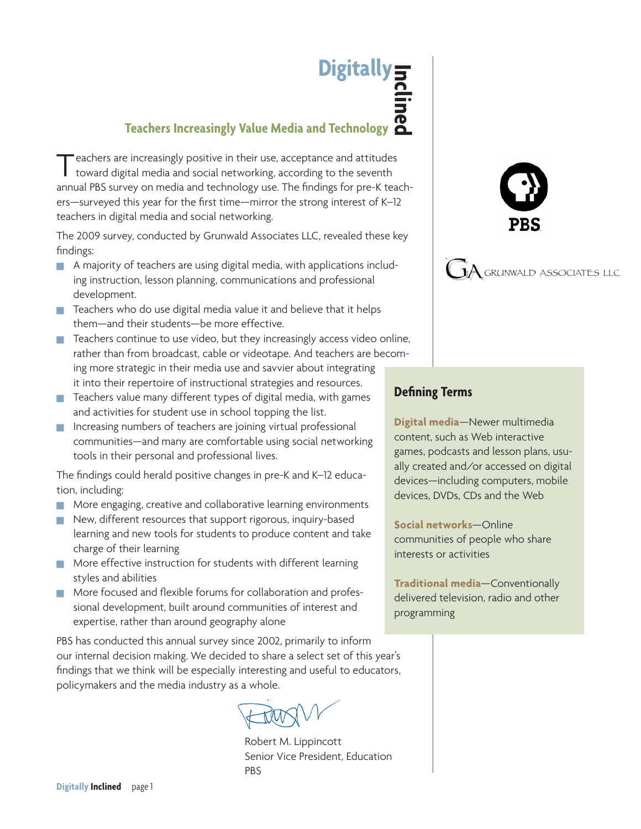# **Inclined Digitally**

# **Teachers Increasingly Value Media and Technology**

Teachers are increasingly positive in their use, acceptance and attitudes<br>toward digital media and social networking, according to the seventh annual PBS survey on media and technology use. The findings for pre-K teachers—surveyed this year for the first time—mirror the strong interest of K–12 teachers in digital media and social networking.

The 2009 survey, conducted by Grunwald Associates LLC, revealed these key findings:

- **EXT** A majority of teachers are using digital media, with applications including instruction, lesson planning, communications and professional development.
- $\blacksquare$  Teachers who do use digital media value it and believe that it helps them—and their students—be more effective.
- $\blacksquare$  Teachers continue to use video, but they increasingly access video online, rather than from broadcast, cable or videotape. And teachers are becoming more strategic in their media use and savvier about integrating it into their repertoire of instructional strategies and resources.
- **T** Teachers value many different types of digital media, with games and activities for student use in school topping the list.
- **T** Increasing numbers of teachers are joining virtual professional communities—and many are comfortable using social networking tools in their personal and professional lives.

The findings could herald positive changes in pre-K and K–12 education, including:

- **More engaging, creative and collaborative learning environments**
- **New, different resources that support rigorous, inquiry-based** learning and new tools for students to produce content and take charge of their learning
- More effective instruction for students with different learning styles and abilities
- More focused and flexible forums for collaboration and professional development, built around communities of interest and expertise, rather than around geography alone

PBS has conducted this annual survey since 2002, primarily to inform our internal decision making. We decided to share a select set of this year's findings that we think will be especially interesting and useful to educators, policymakers and the media industry as a whole.



Robert M. Lippincott Senior Vice President, Education PBS





# **Defining Terms**

**Digital media**—Newer multimedia content, such as Web interactive games, podcasts and lesson plans, usually created and/or accessed on digital devices—including computers, mobile devices, DVDs, CDs and the Web

**Social networks**—Online communities of people who share interests or activities

**Traditional media**—Conventionally delivered television, radio and other programming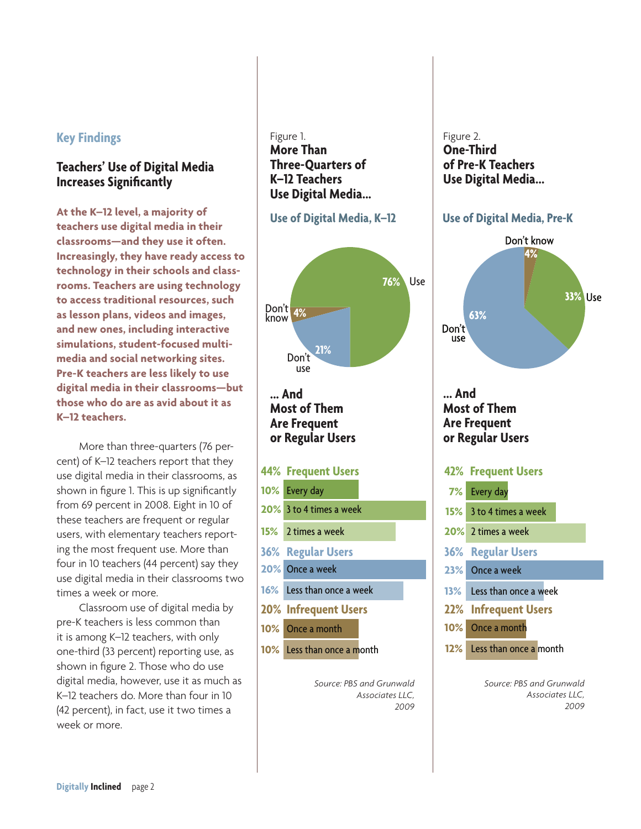# **Key Findings**

# **Teachers' Use of Digital Media Increases Significantly**

**At the K–12 level, a majority of teachers use digital media in their classrooms—and they use it often. Increasingly, they have ready access to technology in their schools and classrooms. Teachers are using technology to access traditional resources, such as lesson plans, videos and images, and new ones, including interactive simulations, student-focused multimedia and social networking sites. Pre-K teachers are less likely to use digital media in their classrooms—but those who do are as avid about it as K–12 teachers.**

More than three-quarters (76 percent) of K–12 teachers report that they use digital media in their classrooms, as shown in figure 1. This is up significantly from 69 percent in 2008. Eight in 10 of these teachers are frequent or regular users, with elementary teachers reporting the most frequent use. More than four in 10 teachers (44 percent) say they use digital media in their classrooms two times a week or more.

Classroom use of digital media by pre-K teachers is less common than it is among K–12 teachers, with only one-third (33 percent) reporting use, as shown in figure 2. Those who do use digital media, however, use it as much as K–12 teachers do. More than four in 10 (42 percent), in fact, use it two times a week or more.

#### Figure 1. **More Than Three-Quarters of K–12 Teachers Use Digital Media... 4%** Don't know

**Use of Digital Media,** 



*2009*

# Figure 2. **One-Third of Pre-K Teachers Use Digital Media...**

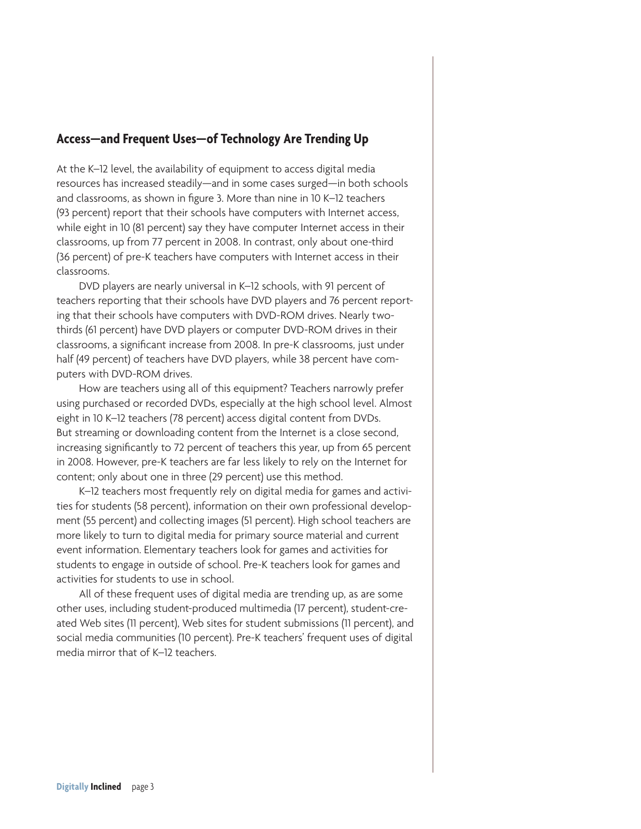# **Access—and Frequent Uses—of Technology Are Trending Up**

At the K–12 level, the availability of equipment to access digital media resources has increased steadily—and in some cases surged—in both schools and classrooms, as shown in figure 3. More than nine in 10 K–12 teachers (93 percent) report that their schools have computers with Internet access, while eight in 10 (81 percent) say they have computer Internet access in their classrooms, up from 77 percent in 2008. In contrast, only about one-third (36 percent) of pre-K teachers have computers with Internet access in their classrooms.

DVD players are nearly universal in K–12 schools, with 91 percent of teachers reporting that their schools have DVD players and 76 percent reporting that their schools have computers with DVD-ROM drives. Nearly twothirds (61 percent) have DVD players or computer DVD-ROM drives in their classrooms, a significant increase from 2008. In pre-K classrooms, just under half (49 percent) of teachers have DVD players, while 38 percent have computers with DVD-ROM drives.

How are teachers using all of this equipment? Teachers narrowly prefer using purchased or recorded DVDs, especially at the high school level. Almost eight in 10 K–12 teachers (78 percent) access digital content from DVDs. But streaming or downloading content from the Internet is a close second, increasing significantly to 72 percent of teachers this year, up from 65 percent in 2008. However, pre-K teachers are far less likely to rely on the Internet for content; only about one in three (29 percent) use this method.

K–12 teachers most frequently rely on digital media for games and activities for students (58 percent), information on their own professional development (55 percent) and collecting images (51 percent). High school teachers are more likely to turn to digital media for primary source material and current event information. Elementary teachers look for games and activities for students to engage in outside of school. Pre-K teachers look for games and activities for students to use in school.

All of these frequent uses of digital media are trending up, as are some other uses, including student-produced multimedia (17 percent), student-created Web sites (11 percent), Web sites for student submissions (11 percent), and social media communities (10 percent). Pre-K teachers' frequent uses of digital media mirror that of K–12 teachers.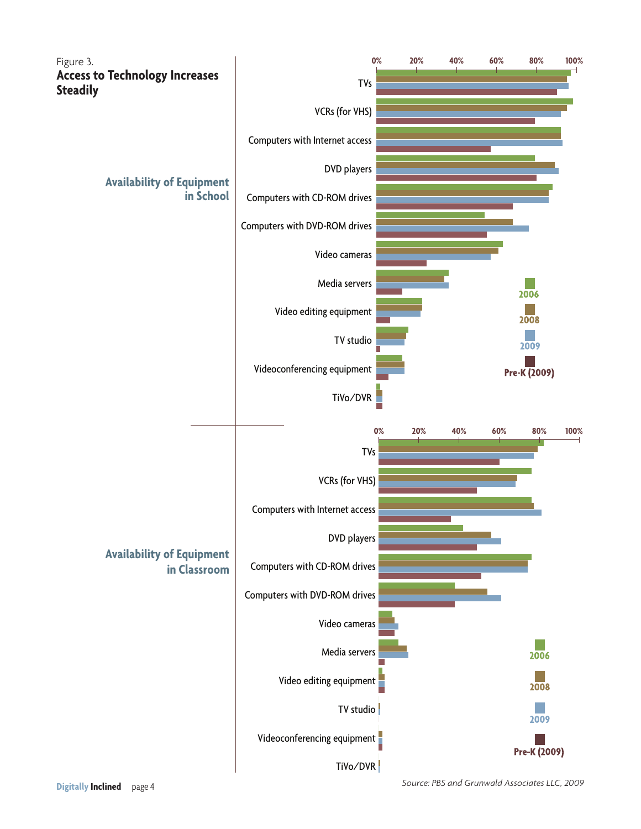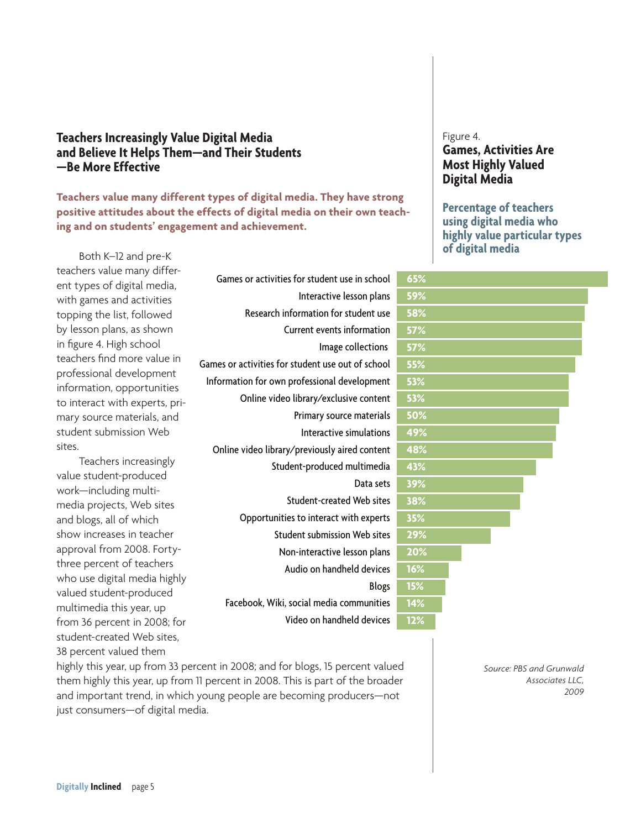# **Teachers Increasingly Value Digital Media and Believe It Helps Them—and Their Students —Be More Effective**

**Teachers value many different types of digital media. They have strong positive attitudes about the effects of digital media on their own teaching and on students' engagement and achievement.** 

Both K–12 and pre-K teachers value many different types of digital media, with games and activities topping the list, followed by lesson plans, as shown in figure 4. High school teachers find more value in professional development information, opportunities to interact with experts, primary source materials, and student submission Web sites.

Teachers increasingly value student-produced work—including multimedia projects, Web sites and blogs, all of which show increases in teacher approval from 2008. Fortythree percent of teachers who use digital media highly valued student-produced multimedia this year, up from 36 percent in 2008; for student-created Web sites, 38 percent valued them

Games or activities for student use in school Interactive lesson plans Research information for student use Current events information Image collections Games or activities for student use out of school Information for own professional development Online video library/exclusive content Primary source materials Interactive simulations Online video library/previously aired content Student-produced multimedia Data sets Student-created Web sites Opportunities to interact with experts Student submission Web sites Non-interactive lesson plans Audio on handheld devices Blogs Facebook, Wiki, social media communities Video on handheld devices

#### Figure 4.

# **Games, Activities Are Most Highly Valued Digital Media**

**Percentage of teachers using digital media who highly value particular types of digital media**

| 65% |  |
|-----|--|
| 59% |  |
| 58% |  |
| 57% |  |
| 57% |  |
| 55% |  |
| 53% |  |
| 53% |  |
| 50% |  |
| 49% |  |
| 48% |  |
| 43% |  |
| 39% |  |
| 38% |  |
| 35% |  |
| 29% |  |
| 20% |  |
| 16% |  |
| 15% |  |
| 14% |  |
| 12% |  |

highly this year, up from 33 percent in 2008; and for blogs, 15 percent valued them highly this year, up from 11 percent in 2008. This is part of the broader and important trend, in which young people are becoming producers—not just consumers—of digital media.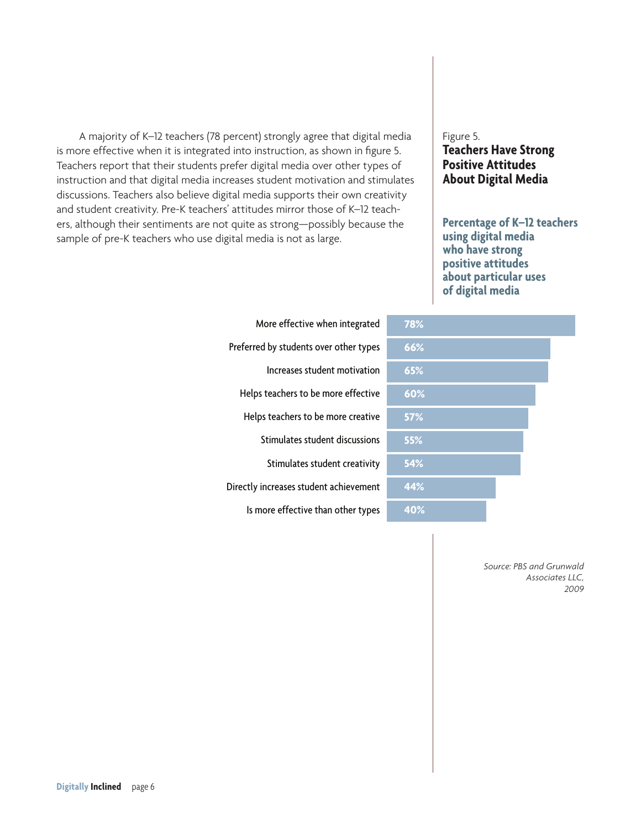A majority of K–12 teachers (78 percent) strongly agree that digital media is more effective when it is integrated into instruction, as shown in figure 5. Teachers report that their students prefer digital media over other types of instruction and that digital media increases student motivation and stimulates discussions. Teachers also believe digital media supports their own creativity and student creativity. Pre-K teachers' attitudes mirror those of K–12 teachers, although their sentiments are not quite as strong—possibly because the sample of pre-K teachers who use digital media is not as large.

# Figure 5. **Teachers Have Strong Positive Attitudes About Digital Media**

**Percentage of K–12 teachers using digital media who have strong positive attitudes about particular uses of digital media**

| More effective when integrated         | 78% |
|----------------------------------------|-----|
| Preferred by students over other types | 66% |
| Increases student motivation           | 65% |
| Helps teachers to be more effective    | 60% |
| Helps teachers to be more creative     | 57% |
| Stimulates student discussions         | 55% |
| Stimulates student creativity          | 54% |
| Directly increases student achievement | 44% |
| Is more effective than other types     | 40% |

0 10 20 30 40 50 60 70 80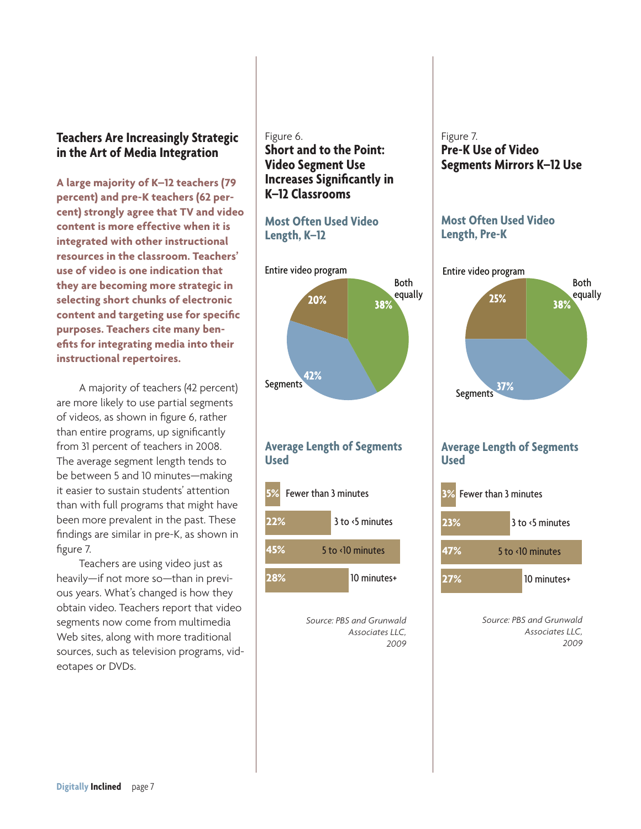# **Teachers Are Increasingly Strategic in the Art of Media Integration**

**A large majority of K–12 teachers (79 percent) and pre-K teachers (62 percent) strongly agree that TV and video content is more effective when it is integrated with other instructional resources in the classroom. Teachers' use of video is one indication that they are becoming more strategic in selecting short chunks of electronic content and targeting use for specific purposes. Teachers cite many benefits for integrating media into their instructional repertoires.**

A majority of teachers (42 percent) are more likely to use partial segments of videos, as shown in figure 6, rather than entire programs, up significantly from 31 percent of teachers in 2008. The average segment length tends to be between 5 and 10 minutes—making it easier to sustain students' attention than with full programs that might have been more prevalent in the past. These findings are similar in pre-K, as shown in figure 7.

Teachers are using video just as heavily—if not more so—than in previous years. What's changed is how they obtain video. Teachers report that video segments now come from multimedia Web sites, along with more traditional sources, such as television programs, videotapes or DVDs.

#### **Figure 6.**

**Short and to the Point: Video Segment Use**  Segments **42%** Increases Significantly in **K-12 Classrooms** 

# **Most Often Used Video Length, K–12**





*Source: PBS and Grunwald Associates LLC, 2009*

# Figure 7. **Pre-K Use of Video Use of Digital Media, Pre-K Segments Mirrors K–12 Use**  Segments **37%**

# **Most Often Used Video Length, Pre-K**



# **Average Length of Segments Used**

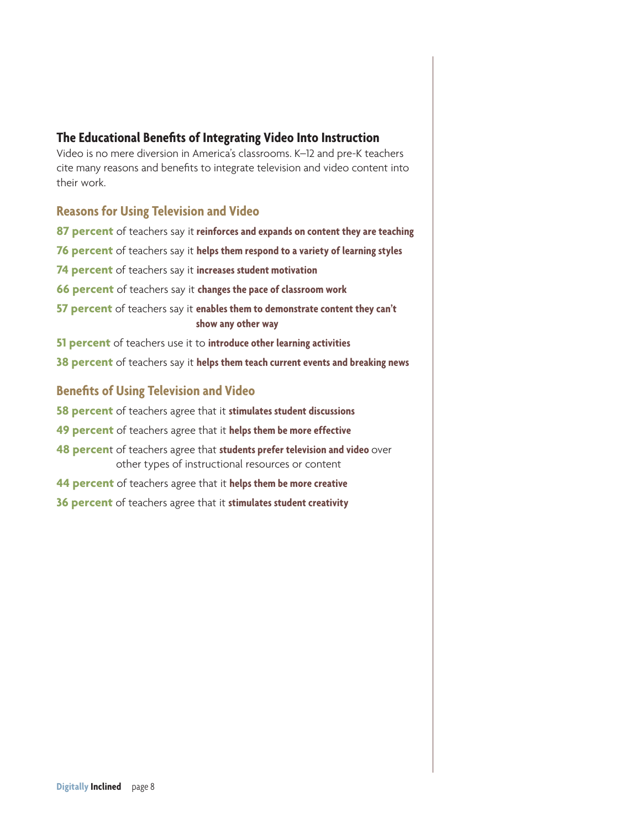# **The Educational Benefits of Integrating Video Into Instruction**

Video is no mere diversion in America's classrooms. K–12 and pre-K teachers cite many reasons and benefits to integrate television and video content into their work.

# **Reasons for Using Television and Video**

- **87 percent** of teachers say it **reinforces and expands on content they are teaching**
- **76 percent** of teachers say it **helps them respond to a variety of learning styles**
- **74 percent** of teachers say it **increases student motivation**
- **66 percent** of teachers say it **changes the pace of classroom work**
- **57 percent** of teachers say it **enables them to demonstrate content they can't show any other way**
- **51 percent** of teachers use it to **introduce other learning activities**
- **38 percent** of teachers say it **helps them teach current events and breaking news**

# **Benefits of Using Television and Video**

- **58 percent** of teachers agree that it **stimulates student discussions**
- **49 percent** of teachers agree that it **helps them be more effective**
- **48 percen**t of teachers agree that **students prefer television and video** over other types of instructional resources or content
- **44 percent** of teachers agree that it **helps them be more creative**
- **36 percent** of teachers agree that it **stimulates student creativity**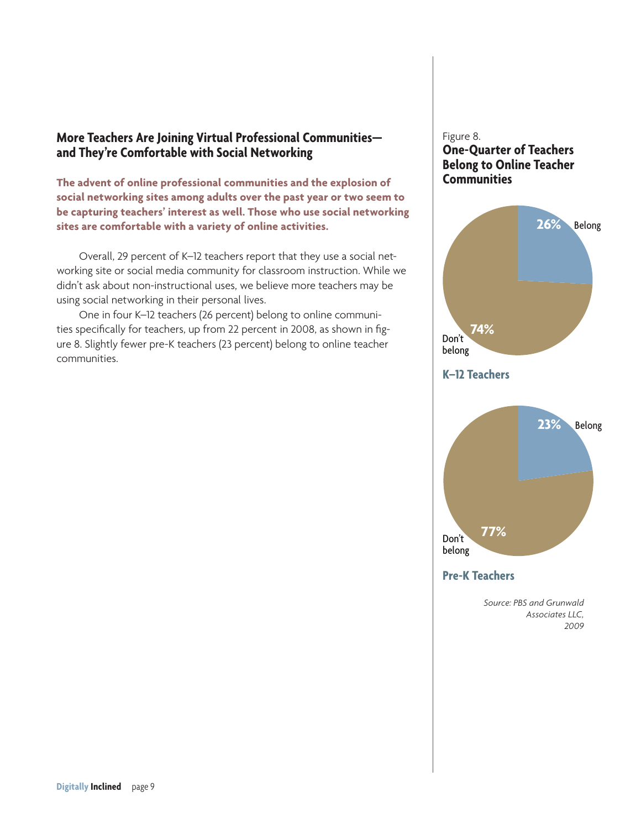# **More Teachers Are Joining Virtual Professional Communities and They're Comfortable with Social Networking**

**The advent of online professional communities and the explosion of social networking sites among adults over the past year or two seem to be capturing teachers' interest as well. Those who use social networking sites are comfortable with a variety of online activities.**

Overall, 29 percent of K–12 teachers report that they use a social networking site or social media community for classroom instruction. While we didn't ask about non-instructional uses, we believe more teachers may be using social networking in their personal lives.

One in four K–12 teachers (26 percent) belong to online communities specifically for teachers, up from 22 percent in 2008, as shown in figure 8. Slightly fewer pre-K teachers (23 percent) belong to online teacher communities.

# Figure 8. **One-Quarter of Teachers Belong to Online Teacher Communities**

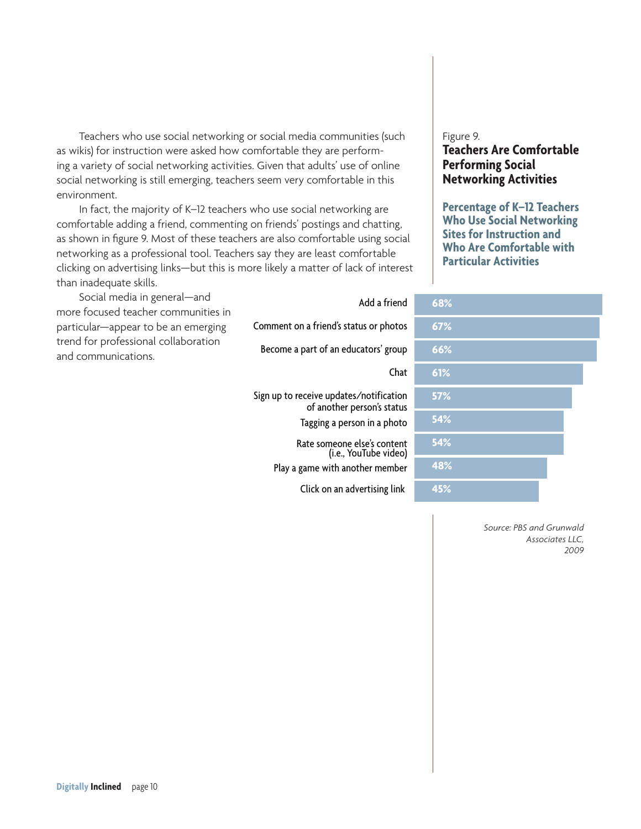Teachers who use social networking or social media communities (such as wikis) for instruction were asked how comfortable they are performing a variety of social networking activities. Given that adults' use of online social networking is still emerging, teachers seem very comfortable in this environment.

In fact, the majority of K–12 teachers who use social networking are comfortable adding a friend, commenting on friends' postings and chatting, as shown in figure 9. Most of these teachers are also comfortable using social networking as a professional tool. Teachers say they are least comfortable clicking on advertising links—but this is more likely a matter of lack of interest than inadequate skills.

Social media in general—and more focused teacher communities in particular—appear to be an emerging trend for professional collaboration and communications.

Add a friend

Comment on a friend's status or photos

Become a part of an educators' group

Chat

Sign up to receive updates/notification of another person's status Tagging a person in a photo

> Rate someone else's content (i.e., YouTube video) Play a game with another member

> > Click on an advertising link

#### Figure 9.

# **Teachers Are Comfortable Performing Social Networking Activities**

**Percentage of K–12 Teachers Who Use Social Networking Sites for Instruction and Who Are Comfortable with Particular Activities**

| 68% |  |
|-----|--|
| 67% |  |
| 66% |  |
| 61% |  |
| 57% |  |
| 54% |  |
| 54% |  |
| 48% |  |
| 45% |  |